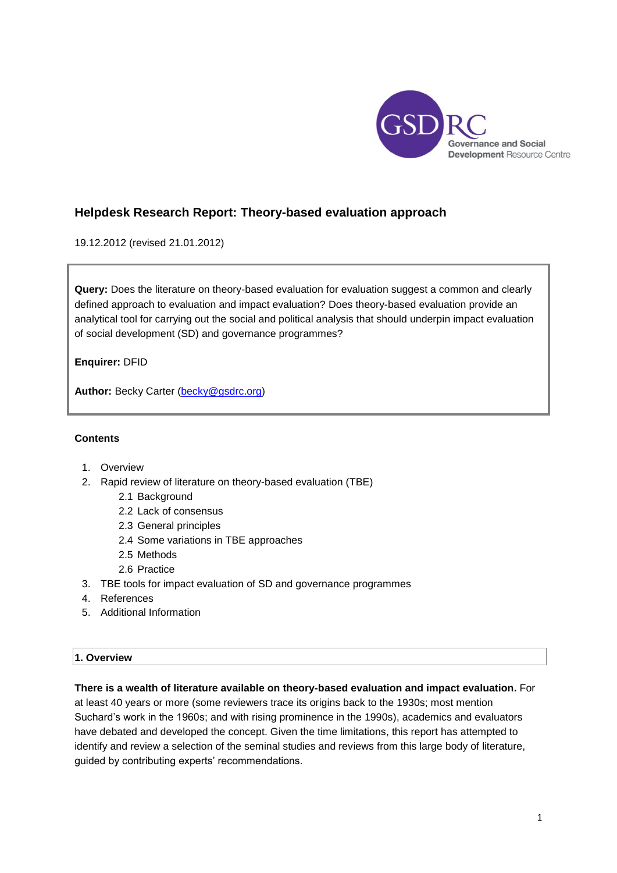

# **Helpdesk Research Report: Theory-based evaluation approach**

19.12.2012 (revised 21.01.2012)

**Query:** Does the literature on theory-based evaluation for evaluation suggest a common and clearly defined approach to evaluation and impact evaluation? Does theory-based evaluation provide an analytical tool for carrying out the social and political analysis that should underpin impact evaluation of social development (SD) and governance programmes?

**Enquirer:** DFID

**Author:** Becky Carter [\(becky@gsdrc.org\)](mailto:becky@gsdrc.org)

### **Contents**

- 1. Overview
- 2. Rapid review of literature on theory-based evaluation (TBE)
	- 2.1 Background
	- 2.2 Lack of consensus
	- 2.3 General principles
	- 2.4 Some variations in TBE approaches
	- 2.5 Methods
	- 2.6 Practice
- 3. TBE tools for impact evaluation of SD and governance programmes
- 4. References
- 5. Additional Information

# **1. Overview**

**There is a wealth of literature available on theory-based evaluation and impact evaluation.** For at least 40 years or more (some reviewers trace its origins back to the 1930s; most mention Suchard's work in the 1960s; and with rising prominence in the 1990s), academics and evaluators have debated and developed the concept. Given the time limitations, this report has attempted to identify and review a selection of the seminal studies and reviews from this large body of literature, guided by contributing experts' recommendations.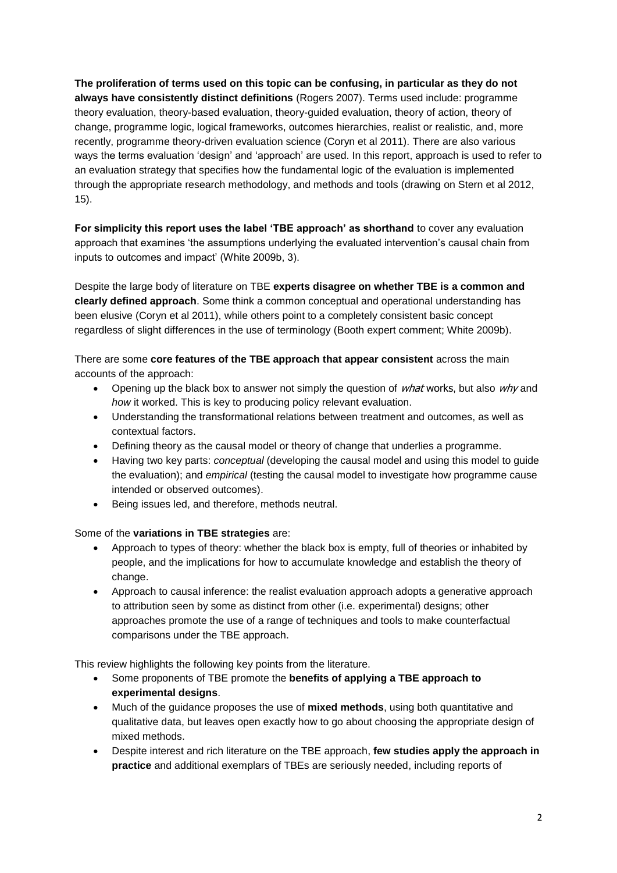**The proliferation of terms used on this topic can be confusing, in particular as they do not always have consistently distinct definitions** (Rogers 2007). Terms used include: programme theory evaluation, theory-based evaluation, theory-guided evaluation, theory of action, theory of change, programme logic, logical frameworks, outcomes hierarchies, realist or realistic, and, more recently, programme theory-driven evaluation science (Coryn et al 2011). There are also various ways the terms evaluation 'design' and 'approach' are used. In this report, approach is used to refer to an evaluation strategy that specifies how the fundamental logic of the evaluation is implemented through the appropriate research methodology, and methods and tools (drawing on Stern et al 2012, 15).

**For simplicity this report uses the label 'TBE approach' as shorthand** to cover any evaluation approach that examines 'the assumptions underlying the evaluated intervention's causal chain from inputs to outcomes and impact' (White 2009b, 3).

Despite the large body of literature on TBE **experts disagree on whether TBE is a common and clearly defined approach**. Some think a common conceptual and operational understanding has been elusive (Coryn et al 2011), while others point to a completely consistent basic concept regardless of slight differences in the use of terminology (Booth expert comment; White 2009b).

There are some **core features of the TBE approach that appear consistent** across the main accounts of the approach:

- Opening up the black box to answer not simply the question of  $wh$ at works, but also why and *how* it worked. This is key to producing policy relevant evaluation.
- Understanding the transformational relations between treatment and outcomes, as well as contextual factors.
- Defining theory as the causal model or theory of change that underlies a programme.
- Having two key parts: *conceptual* (developing the causal model and using this model to guide the evaluation); and *empirical* (testing the causal model to investigate how programme cause intended or observed outcomes).
- Being issues led, and therefore, methods neutral.

#### Some of the **variations in TBE strategies** are:

- Approach to types of theory: whether the black box is empty, full of theories or inhabited by people, and the implications for how to accumulate knowledge and establish the theory of change.
- Approach to causal inference: the realist evaluation approach adopts a generative approach to attribution seen by some as distinct from other (i.e. experimental) designs; other approaches promote the use of a range of techniques and tools to make counterfactual comparisons under the TBE approach.

This review highlights the following key points from the literature.

- Some proponents of TBE promote the **benefits of applying a TBE approach to experimental designs**.
- Much of the guidance proposes the use of **mixed methods**, using both quantitative and qualitative data, but leaves open exactly how to go about choosing the appropriate design of mixed methods.
- Despite interest and rich literature on the TBE approach, **few studies apply the approach in practice** and additional exemplars of TBEs are seriously needed, including reports of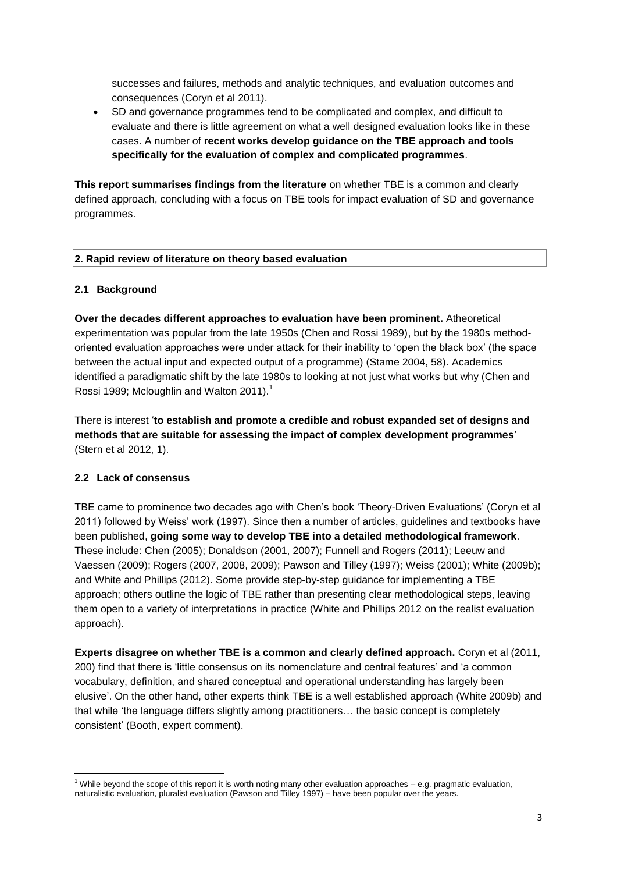successes and failures, methods and analytic techniques, and evaluation outcomes and consequences (Coryn et al 2011).

 SD and governance programmes tend to be complicated and complex, and difficult to evaluate and there is little agreement on what a well designed evaluation looks like in these cases. A number of **recent works develop guidance on the TBE approach and tools specifically for the evaluation of complex and complicated programmes**.

**This report summarises findings from the literature** on whether TBE is a common and clearly defined approach, concluding with a focus on TBE tools for impact evaluation of SD and governance programmes.

#### **2. Rapid review of literature on theory based evaluation**

### **2.1 Background**

**Over the decades different approaches to evaluation have been prominent.** Atheoretical experimentation was popular from the late 1950s (Chen and Rossi 1989), but by the 1980s methodoriented evaluation approaches were under attack for their inability to 'open the black box' (the space between the actual input and expected output of a programme) (Stame 2004, 58). Academics identified a paradigmatic shift by the late 1980s to looking at not just what works but why (Chen and Rossi 1989; Mcloughlin and Walton 2011).<sup>1</sup>

There is interest '**to establish and promote a credible and robust expanded set of designs and methods that are suitable for assessing the impact of complex development programmes**' (Stern et al 2012, 1).

#### **2.2 Lack of consensus**

TBE came to prominence two decades ago with Chen's book 'Theory-Driven Evaluations' (Coryn et al 2011) followed by Weiss' work (1997). Since then a number of articles, guidelines and textbooks have been published, **going some way to develop TBE into a detailed methodological framework**. These include: Chen (2005); Donaldson (2001, 2007); Funnell and Rogers (2011); Leeuw and Vaessen (2009); Rogers (2007, 2008, 2009); Pawson and Tilley (1997); Weiss (2001); White (2009b); and White and Phillips (2012). Some provide step-by-step guidance for implementing a TBE approach; others outline the logic of TBE rather than presenting clear methodological steps, leaving them open to a variety of interpretations in practice (White and Phillips 2012 on the realist evaluation approach).

**Experts disagree on whether TBE is a common and clearly defined approach.** Coryn et al (2011, 200) find that there is 'little consensus on its nomenclature and central features' and 'a common vocabulary, definition, and shared conceptual and operational understanding has largely been elusive'. On the other hand, other experts think TBE is a well established approach (White 2009b) and that while 'the language differs slightly among practitioners… the basic concept is completely consistent' (Booth, expert comment).

<sup>1</sup>  $1$  While beyond the scope of this report it is worth noting many other evaluation approaches – e.g. pragmatic evaluation, naturalistic evaluation, pluralist evaluation (Pawson and Tilley 1997) – have been popular over the years.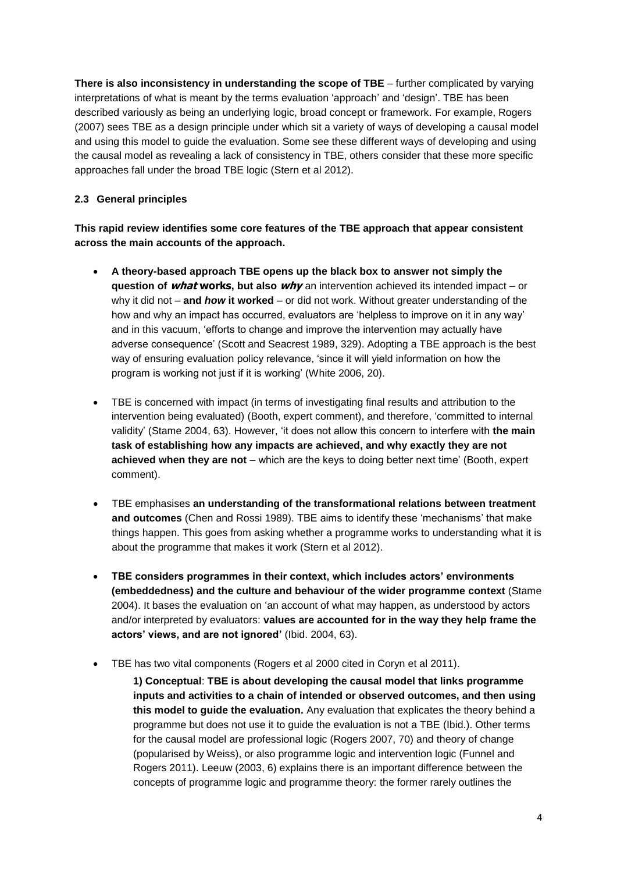**There is also inconsistency in understanding the scope of TBE** – further complicated by varying interpretations of what is meant by the terms evaluation 'approach' and 'design'. TBE has been described variously as being an underlying logic, broad concept or framework. For example, Rogers (2007) sees TBE as a design principle under which sit a variety of ways of developing a causal model and using this model to guide the evaluation. Some see these different ways of developing and using the causal model as revealing a lack of consistency in TBE, others consider that these more specific approaches fall under the broad TBE logic (Stern et al 2012).

# **2.3 General principles**

**This rapid review identifies some core features of the TBE approach that appear consistent across the main accounts of the approach.**

- **A theory-based approach TBE opens up the black box to answer not simply the question of what works, but also why** an intervention achieved its intended impact – or why it did not – **and** *how* **it worked** – or did not work. Without greater understanding of the how and why an impact has occurred, evaluators are 'helpless to improve on it in any way' and in this vacuum, 'efforts to change and improve the intervention may actually have adverse consequence' (Scott and Seacrest 1989, 329). Adopting a TBE approach is the best way of ensuring evaluation policy relevance, 'since it will yield information on how the program is working not just if it is working' (White 2006, 20).
- TBE is concerned with impact (in terms of investigating final results and attribution to the intervention being evaluated) (Booth, expert comment), and therefore, 'committed to internal validity' (Stame 2004, 63). However, 'it does not allow this concern to interfere with **the main task of establishing how any impacts are achieved, and why exactly they are not achieved when they are not** – which are the keys to doing better next time' (Booth, expert comment).
- TBE emphasises **an understanding of the transformational relations between treatment and outcomes** (Chen and Rossi 1989). TBE aims to identify these 'mechanisms' that make things happen. This goes from asking whether a programme works to understanding what it is about the programme that makes it work (Stern et al 2012).
- **TBE considers programmes in their context, which includes actors' environments (embeddedness) and the culture and behaviour of the wider programme context** (Stame 2004). It bases the evaluation on 'an account of what may happen, as understood by actors and/or interpreted by evaluators: **values are accounted for in the way they help frame the actors' views, and are not ignored'** (Ibid. 2004, 63).
- TBE has two vital components (Rogers et al 2000 cited in Coryn et al 2011).

**1) Conceptual**: **TBE is about developing the causal model that links programme inputs and activities to a chain of intended or observed outcomes, and then using this model to guide the evaluation.** Any evaluation that explicates the theory behind a programme but does not use it to guide the evaluation is not a TBE (Ibid.). Other terms for the causal model are professional logic (Rogers 2007, 70) and theory of change (popularised by Weiss), or also programme logic and intervention logic (Funnel and Rogers 2011). Leeuw (2003, 6) explains there is an important difference between the concepts of programme logic and programme theory: the former rarely outlines the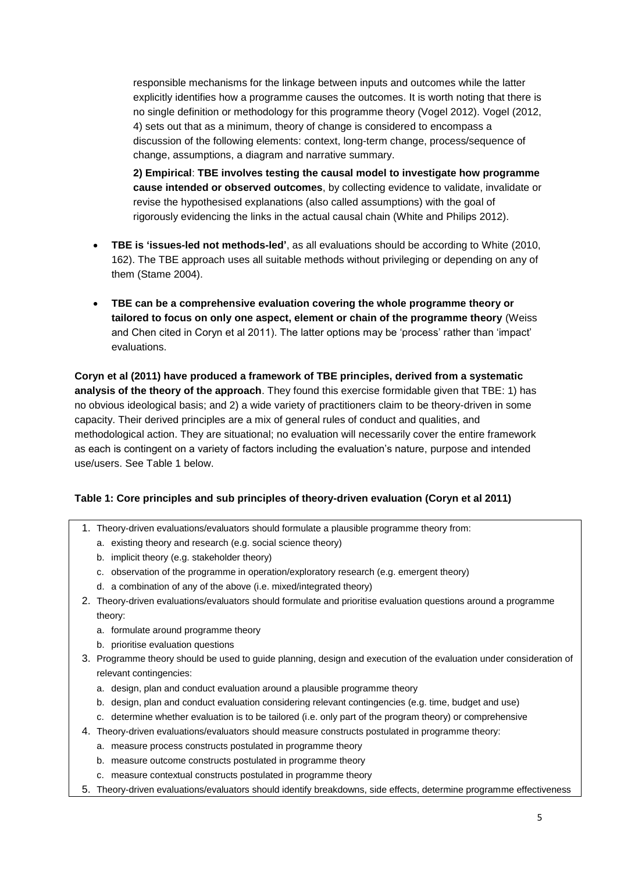responsible mechanisms for the linkage between inputs and outcomes while the latter explicitly identifies how a programme causes the outcomes. It is worth noting that there is no single definition or methodology for this programme theory (Vogel 2012). Vogel (2012, 4) sets out that as a minimum, theory of change is considered to encompass a discussion of the following elements: context, long-term change, process/sequence of change, assumptions, a diagram and narrative summary.

**2) Empirical**: **TBE involves testing the causal model to investigate how programme cause intended or observed outcomes**, by collecting evidence to validate, invalidate or revise the hypothesised explanations (also called assumptions) with the goal of rigorously evidencing the links in the actual causal chain (White and Philips 2012).

- **TBE is 'issues-led not methods-led'**, as all evaluations should be according to White (2010, 162). The TBE approach uses all suitable methods without privileging or depending on any of them (Stame 2004).
- **TBE can be a comprehensive evaluation covering the whole programme theory or tailored to focus on only one aspect, element or chain of the programme theory** (Weiss and Chen cited in Coryn et al 2011). The latter options may be 'process' rather than 'impact' evaluations.

**Coryn et al (2011) have produced a framework of TBE principles, derived from a systematic analysis of the theory of the approach**. They found this exercise formidable given that TBE: 1) has no obvious ideological basis; and 2) a wide variety of practitioners claim to be theory-driven in some capacity. Their derived principles are a mix of general rules of conduct and qualities, and methodological action. They are situational; no evaluation will necessarily cover the entire framework as each is contingent on a variety of factors including the evaluation's nature, purpose and intended use/users. See Table 1 below.

# **Table 1: Core principles and sub principles of theory-driven evaluation (Coryn et al 2011)**

- 1. Theory-driven evaluations/evaluators should formulate a plausible programme theory from:
	- a. existing theory and research (e.g. social science theory)
	- b. implicit theory (e.g. stakeholder theory)
	- c. observation of the programme in operation/exploratory research (e.g. emergent theory)
	- d. a combination of any of the above (i.e. mixed/integrated theory)
- 2. Theory-driven evaluations/evaluators should formulate and prioritise evaluation questions around a programme theory:
	- a. formulate around programme theory
	- b. prioritise evaluation questions
- 3. Programme theory should be used to guide planning, design and execution of the evaluation under consideration of relevant contingencies:
	- a. design, plan and conduct evaluation around a plausible programme theory
	- b. design, plan and conduct evaluation considering relevant contingencies (e.g. time, budget and use)
	- c. determine whether evaluation is to be tailored (i.e. only part of the program theory) or comprehensive
- 4. Theory-driven evaluations/evaluators should measure constructs postulated in programme theory:
	- a. measure process constructs postulated in programme theory
	- b. measure outcome constructs postulated in programme theory
	- c. measure contextual constructs postulated in programme theory
- 5. Theory-driven evaluations/evaluators should identify breakdowns, side effects, determine programme effectiveness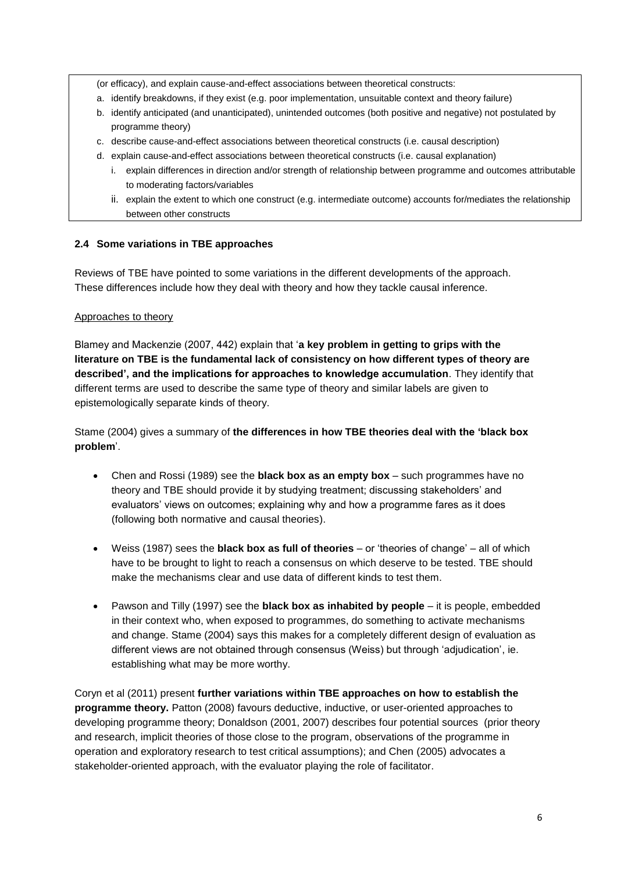(or efficacy), and explain cause-and-effect associations between theoretical constructs:

- a. identify breakdowns, if they exist (e.g. poor implementation, unsuitable context and theory failure)
- b. identify anticipated (and unanticipated), unintended outcomes (both positive and negative) not postulated by programme theory)
- c. describe cause-and-effect associations between theoretical constructs (i.e. causal description)
- d. explain cause-and-effect associations between theoretical constructs (i.e. causal explanation)
	- i. explain differences in direction and/or strength of relationship between programme and outcomes attributable to moderating factors/variables
	- ii. explain the extent to which one construct (e.g. intermediate outcome) accounts for/mediates the relationship between other constructs

### **2.4 Some variations in TBE approaches**

Reviews of TBE have pointed to some variations in the different developments of the approach. These differences include how they deal with theory and how they tackle causal inference.

### Approaches to theory

Blamey and Mackenzie (2007, 442) explain that '**a key problem in getting to grips with the literature on TBE is the fundamental lack of consistency on how different types of theory are described', and the implications for approaches to knowledge accumulation**. They identify that different terms are used to describe the same type of theory and similar labels are given to epistemologically separate kinds of theory.

Stame (2004) gives a summary of **the differences in how TBE theories deal with the 'black box problem**'.

- Chen and Rossi (1989) see the **black box as an empty box** such programmes have no theory and TBE should provide it by studying treatment; discussing stakeholders' and evaluators' views on outcomes; explaining why and how a programme fares as it does (following both normative and causal theories).
- Weiss (1987) sees the **black box as full of theories** or 'theories of change' all of which have to be brought to light to reach a consensus on which deserve to be tested. TBE should make the mechanisms clear and use data of different kinds to test them.
- Pawson and Tilly (1997) see the **black box as inhabited by people** it is people, embedded in their context who, when exposed to programmes, do something to activate mechanisms and change. Stame (2004) says this makes for a completely different design of evaluation as different views are not obtained through consensus (Weiss) but through 'adjudication', ie. establishing what may be more worthy.

Coryn et al (2011) present **further variations within TBE approaches on how to establish the programme theory.** Patton (2008) favours deductive, inductive, or user-oriented approaches to developing programme theory; Donaldson (2001, 2007) describes four potential sources (prior theory and research, implicit theories of those close to the program, observations of the programme in operation and exploratory research to test critical assumptions); and Chen (2005) advocates a stakeholder-oriented approach, with the evaluator playing the role of facilitator.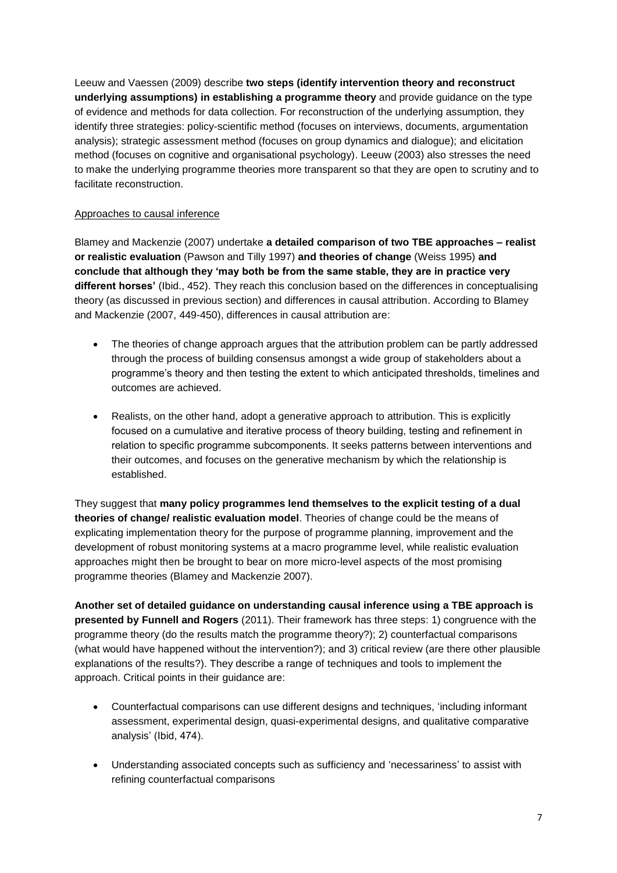Leeuw and Vaessen (2009) describe **two steps (identify intervention theory and reconstruct underlying assumptions) in establishing a programme theory** and provide guidance on the type of evidence and methods for data collection. For reconstruction of the underlying assumption, they identify three strategies: policy-scientific method (focuses on interviews, documents, argumentation analysis); strategic assessment method (focuses on group dynamics and dialogue); and elicitation method (focuses on cognitive and organisational psychology). Leeuw (2003) also stresses the need to make the underlying programme theories more transparent so that they are open to scrutiny and to facilitate reconstruction.

### Approaches to causal inference

Blamey and Mackenzie (2007) undertake **a detailed comparison of two TBE approaches – realist or realistic evaluation** (Pawson and Tilly 1997) **and theories of change** (Weiss 1995) **and conclude that although they 'may both be from the same stable, they are in practice very different horses'** (Ibid., 452). They reach this conclusion based on the differences in conceptualising theory (as discussed in previous section) and differences in causal attribution. According to Blamey and Mackenzie (2007, 449-450), differences in causal attribution are:

- The theories of change approach argues that the attribution problem can be partly addressed through the process of building consensus amongst a wide group of stakeholders about a programme's theory and then testing the extent to which anticipated thresholds, timelines and outcomes are achieved.
- Realists, on the other hand, adopt a generative approach to attribution. This is explicitly focused on a cumulative and iterative process of theory building, testing and refinement in relation to specific programme subcomponents. It seeks patterns between interventions and their outcomes, and focuses on the generative mechanism by which the relationship is established.

They suggest that **many policy programmes lend themselves to the explicit testing of a dual theories of change/ realistic evaluation model**. Theories of change could be the means of explicating implementation theory for the purpose of programme planning, improvement and the development of robust monitoring systems at a macro programme level, while realistic evaluation approaches might then be brought to bear on more micro-level aspects of the most promising programme theories (Blamey and Mackenzie 2007).

**Another set of detailed guidance on understanding causal inference using a TBE approach is presented by Funnell and Rogers** (2011). Their framework has three steps: 1) congruence with the programme theory (do the results match the programme theory?); 2) counterfactual comparisons (what would have happened without the intervention?); and 3) critical review (are there other plausible explanations of the results?). They describe a range of techniques and tools to implement the approach. Critical points in their guidance are:

- Counterfactual comparisons can use different designs and techniques, 'including informant assessment, experimental design, quasi-experimental designs, and qualitative comparative analysis' (Ibid, 474).
- Understanding associated concepts such as sufficiency and 'necessariness' to assist with refining counterfactual comparisons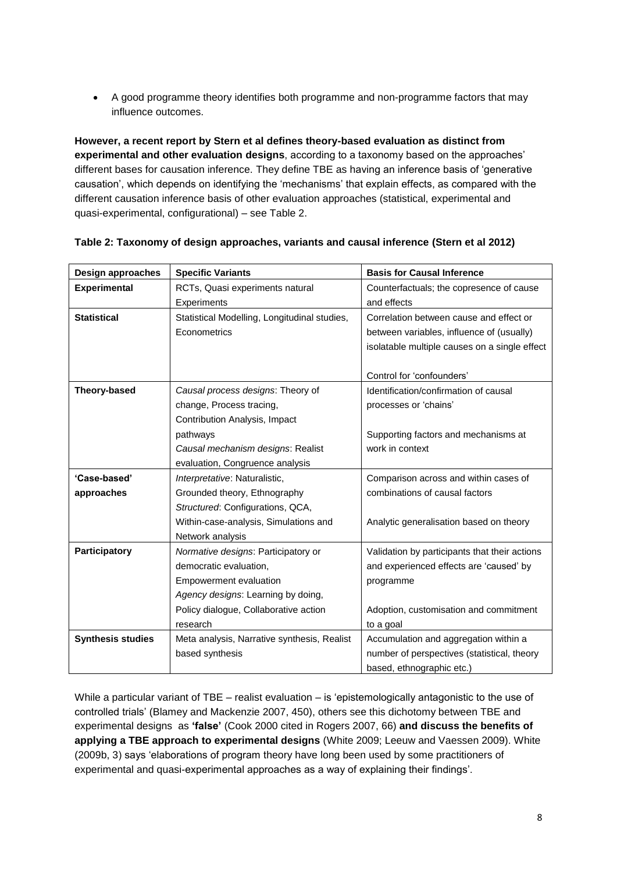A good programme theory identifies both programme and non-programme factors that may influence outcomes.

**However, a recent report by Stern et al defines theory-based evaluation as distinct from experimental and other evaluation designs**, according to a taxonomy based on the approaches' different bases for causation inference. They define TBE as having an inference basis of 'generative causation', which depends on identifying the 'mechanisms' that explain effects, as compared with the different causation inference basis of other evaluation approaches (statistical, experimental and quasi-experimental, configurational) – see Table 2.

| Design approaches        | <b>Specific Variants</b>                     | <b>Basis for Causal Inference</b>             |
|--------------------------|----------------------------------------------|-----------------------------------------------|
| <b>Experimental</b>      | RCTs, Quasi experiments natural              | Counterfactuals; the copresence of cause      |
|                          | Experiments                                  | and effects                                   |
| <b>Statistical</b>       | Statistical Modelling, Longitudinal studies, | Correlation between cause and effect or       |
|                          | Econometrics                                 | between variables, influence of (usually)     |
|                          |                                              | isolatable multiple causes on a single effect |
|                          |                                              |                                               |
|                          |                                              | Control for 'confounders'                     |
| Theory-based             | Causal process designs: Theory of            | Identification/confirmation of causal         |
|                          | change, Process tracing,                     | processes or 'chains'                         |
|                          | Contribution Analysis, Impact                |                                               |
|                          | pathways                                     | Supporting factors and mechanisms at          |
|                          | Causal mechanism designs: Realist            | work in context                               |
|                          | evaluation, Congruence analysis              |                                               |
| 'Case-based'             | Interpretative: Naturalistic,                | Comparison across and within cases of         |
| approaches               | Grounded theory, Ethnography                 | combinations of causal factors                |
|                          | Structured: Configurations, QCA,             |                                               |
|                          | Within-case-analysis, Simulations and        | Analytic generalisation based on theory       |
|                          | Network analysis                             |                                               |
| Participatory            | Normative designs: Participatory or          | Validation by participants that their actions |
|                          | democratic evaluation,                       | and experienced effects are 'caused' by       |
|                          | <b>Empowerment evaluation</b>                | programme                                     |
|                          | Agency designs: Learning by doing,           |                                               |
|                          | Policy dialogue, Collaborative action        | Adoption, customisation and commitment        |
|                          | research                                     | to a goal                                     |
| <b>Synthesis studies</b> | Meta analysis, Narrative synthesis, Realist  | Accumulation and aggregation within a         |
|                          | based synthesis                              | number of perspectives (statistical, theory   |
|                          |                                              | based, ethnographic etc.)                     |

### **Table 2: Taxonomy of design approaches, variants and causal inference (Stern et al 2012)**

While a particular variant of TBE – realist evaluation – is 'epistemologically antagonistic to the use of controlled trials' (Blamey and Mackenzie 2007, 450), others see this dichotomy between TBE and experimental designs as **'false'** (Cook 2000 cited in Rogers 2007, 66) **and discuss the benefits of applying a TBE approach to experimental designs** (White 2009; Leeuw and Vaessen 2009). White (2009b, 3) says 'elaborations of program theory have long been used by some practitioners of experimental and quasi-experimental approaches as a way of explaining their findings'.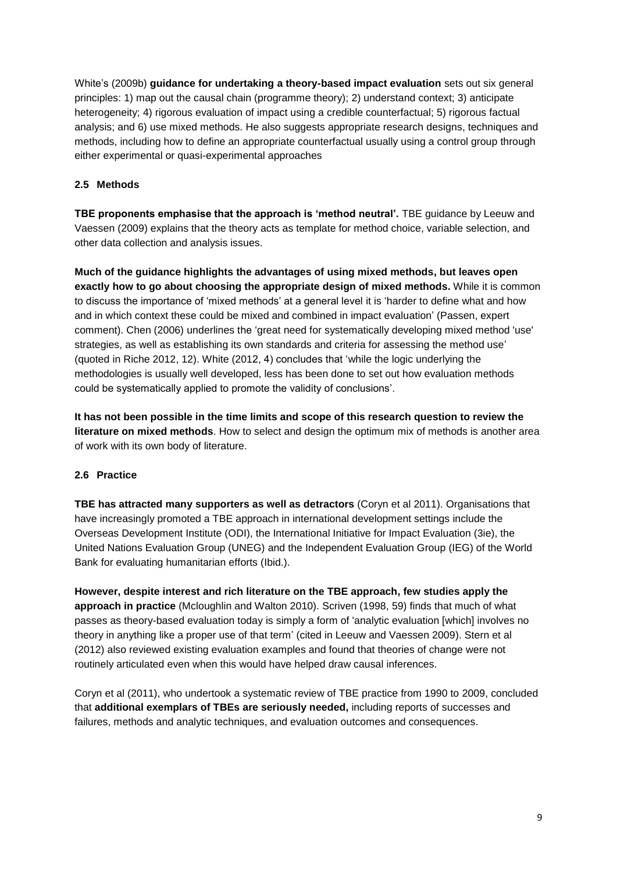White's (2009b) **guidance for undertaking a theory-based impact evaluation** sets out six general principles: 1) map out the causal chain (programme theory); 2) understand context; 3) anticipate heterogeneity; 4) rigorous evaluation of impact using a credible counterfactual; 5) rigorous factual analysis; and 6) use mixed methods. He also suggests appropriate research designs, techniques and methods, including how to define an appropriate counterfactual usually using a control group through either experimental or quasi-experimental approaches

# **2.5 Methods**

**TBE proponents emphasise that the approach is 'method neutral'.** TBE guidance by Leeuw and Vaessen (2009) explains that the theory acts as template for method choice, variable selection, and other data collection and analysis issues.

**Much of the guidance highlights the advantages of using mixed methods, but leaves open exactly how to go about choosing the appropriate design of mixed methods.** While it is common to discuss the importance of 'mixed methods' at a general level it is 'harder to define what and how and in which context these could be mixed and combined in impact evaluation' (Passen, expert comment). Chen (2006) underlines the 'great need for systematically developing mixed method 'use' strategies, as well as establishing its own standards and criteria for assessing the method use' (quoted in Riche 2012, 12). White (2012, 4) concludes that 'while the logic underlying the methodologies is usually well developed, less has been done to set out how evaluation methods could be systematically applied to promote the validity of conclusions'.

**It has not been possible in the time limits and scope of this research question to review the literature on mixed methods**. How to select and design the optimum mix of methods is another area of work with its own body of literature.

# **2.6 Practice**

**TBE has attracted many supporters as well as detractors** (Coryn et al 2011). Organisations that have increasingly promoted a TBE approach in international development settings include the Overseas Development Institute (ODI), the International Initiative for Impact Evaluation (3ie), the United Nations Evaluation Group (UNEG) and the Independent Evaluation Group (IEG) of the World Bank for evaluating humanitarian efforts (Ibid.).

**However, despite interest and rich literature on the TBE approach, few studies apply the approach in practice** (Mcloughlin and Walton 2010). Scriven (1998, 59) finds that much of what passes as theory-based evaluation today is simply a form of 'analytic evaluation [which] involves no theory in anything like a proper use of that term' (cited in Leeuw and Vaessen 2009). Stern et al (2012) also reviewed existing evaluation examples and found that theories of change were not routinely articulated even when this would have helped draw causal inferences.

Coryn et al (2011), who undertook a systematic review of TBE practice from 1990 to 2009, concluded that **additional exemplars of TBEs are seriously needed,** including reports of successes and failures, methods and analytic techniques, and evaluation outcomes and consequences.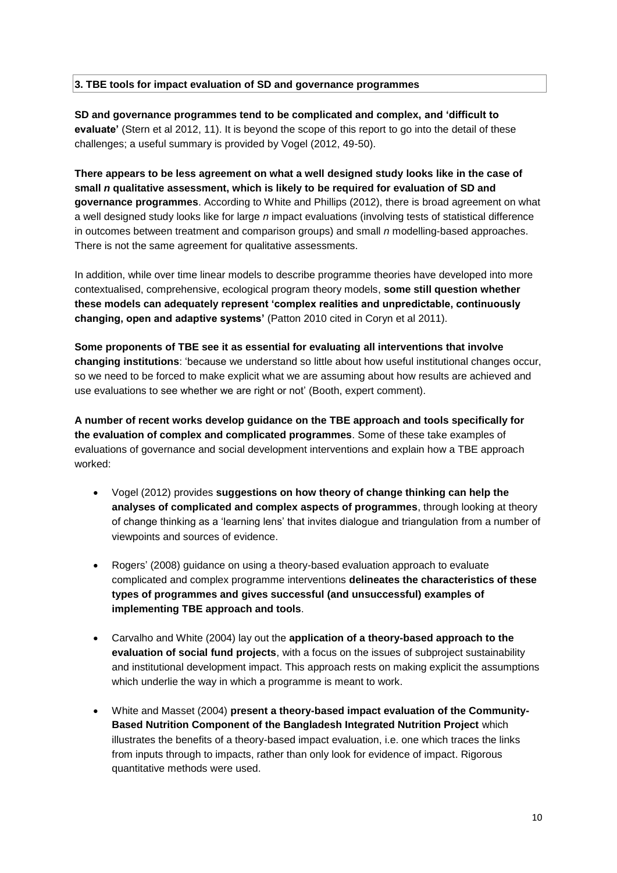#### **3. TBE tools for impact evaluation of SD and governance programmes**

**SD and governance programmes tend to be complicated and complex, and 'difficult to evaluate'** (Stern et al 2012, 11). It is beyond the scope of this report to go into the detail of these challenges; a useful summary is provided by Vogel (2012, 49-50).

**There appears to be less agreement on what a well designed study looks like in the case of small** *n* **qualitative assessment, which is likely to be required for evaluation of SD and governance programmes**. According to White and Phillips (2012), there is broad agreement on what a well designed study looks like for large *n* impact evaluations (involving tests of statistical difference in outcomes between treatment and comparison groups) and small *n* modelling-based approaches. There is not the same agreement for qualitative assessments.

In addition, while over time linear models to describe programme theories have developed into more contextualised, comprehensive, ecological program theory models, **some still question whether these models can adequately represent 'complex realities and unpredictable, continuously changing, open and adaptive systems'** (Patton 2010 cited in Coryn et al 2011).

**Some proponents of TBE see it as essential for evaluating all interventions that involve changing institutions**: 'because we understand so little about how useful institutional changes occur, so we need to be forced to make explicit what we are assuming about how results are achieved and use evaluations to see whether we are right or not' (Booth, expert comment).

**A number of recent works develop guidance on the TBE approach and tools specifically for the evaluation of complex and complicated programmes**. Some of these take examples of evaluations of governance and social development interventions and explain how a TBE approach worked:

- Vogel (2012) provides **suggestions on how theory of change thinking can help the analyses of complicated and complex aspects of programmes**, through looking at theory of change thinking as a 'learning lens' that invites dialogue and triangulation from a number of viewpoints and sources of evidence.
- Rogers' (2008) guidance on using a theory-based evaluation approach to evaluate complicated and complex programme interventions **delineates the characteristics of these types of programmes and gives successful (and unsuccessful) examples of implementing TBE approach and tools**.
- Carvalho and White (2004) lay out the **application of a theory-based approach to the evaluation of social fund projects**, with a focus on the issues of subproject sustainability and institutional development impact. This approach rests on making explicit the assumptions which underlie the way in which a programme is meant to work.
- White and Masset (2004) **present a theory-based impact evaluation of the Community-Based Nutrition Component of the Bangladesh Integrated Nutrition Project** which illustrates the benefits of a theory-based impact evaluation, i.e. one which traces the links from inputs through to impacts, rather than only look for evidence of impact. Rigorous quantitative methods were used.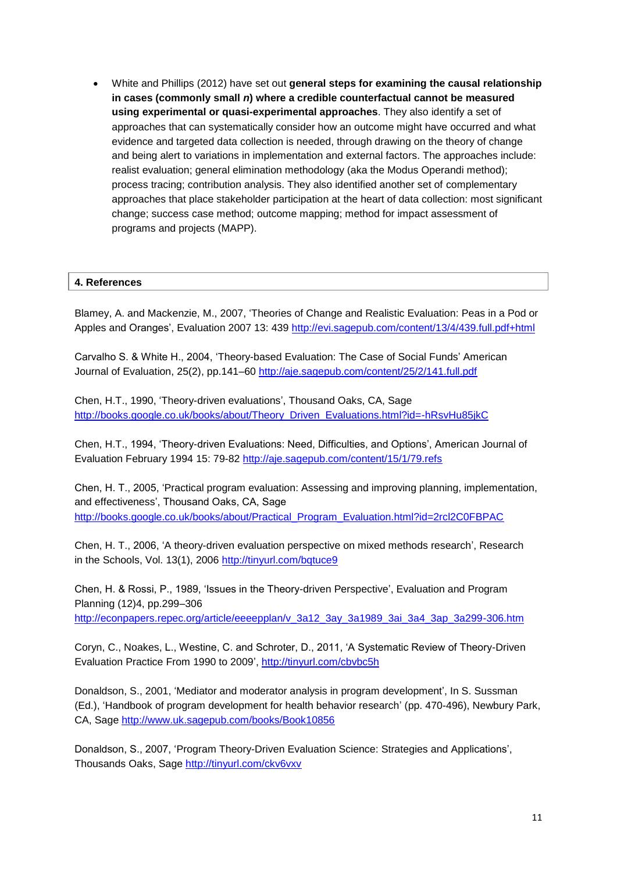White and Phillips (2012) have set out **general steps for examining the causal relationship in cases (commonly small** *n***) where a credible counterfactual cannot be measured using experimental or quasi-experimental approaches**. They also identify a set of approaches that can systematically consider how an outcome might have occurred and what evidence and targeted data collection is needed, through drawing on the theory of change and being alert to variations in implementation and external factors. The approaches include: realist evaluation; general elimination methodology (aka the Modus Operandi method); process tracing; contribution analysis. They also identified another set of complementary approaches that place stakeholder participation at the heart of data collection: most significant change; success case method; outcome mapping; method for impact assessment of programs and projects (MAPP).

#### **4. References**

Blamey, A. and Mackenzie, M., 2007, 'Theories of Change and Realistic Evaluation: Peas in a Pod or Apples and Oranges', Evaluation 2007 13: 439 <http://evi.sagepub.com/content/13/4/439.full.pdf+html>

Carvalho S. & White H., 2004, 'Theory-based Evaluation: The Case of Social Funds' American Journal of Evaluation, 25(2), pp.141–60 <http://aje.sagepub.com/content/25/2/141.full.pdf>

Chen, H.T., 1990, 'Theory-driven evaluations', Thousand Oaks, CA, Sage [http://books.google.co.uk/books/about/Theory\\_Driven\\_Evaluations.html?id=-hRsvHu85jkC](http://books.google.co.uk/books/about/Theory_Driven_Evaluations.html?id=-hRsvHu85jkC)

Chen, H.T., 1994, 'Theory-driven Evaluations: Need, Difficulties, and Options', American Journal of Evaluation February 1994 15: 79-82 <http://aje.sagepub.com/content/15/1/79.refs>

Chen, H. T., 2005, 'Practical program evaluation: Assessing and improving planning, implementation, and effectiveness', Thousand Oaks, CA, Sage [http://books.google.co.uk/books/about/Practical\\_Program\\_Evaluation.html?id=2rcl2C0FBPAC](http://books.google.co.uk/books/about/Practical_Program_Evaluation.html?id=2rcl2C0FBPAC)

Chen, H. T., 2006, 'A theory-driven evaluation perspective on mixed methods research', Research in the Schools, Vol. 13(1), 2006 <http://tinyurl.com/bqtuce9>

Chen, H. & Rossi, P., 1989, 'Issues in the Theory-driven Perspective', Evaluation and Program Planning (12)4, pp.299–306

[http://econpapers.repec.org/article/eeeepplan/v\\_3a12\\_3ay\\_3a1989\\_3ai\\_3a4\\_3ap\\_3a299-306.htm](http://econpapers.repec.org/article/eeeepplan/v_3a12_3ay_3a1989_3ai_3a4_3ap_3a299-306.htm)

Coryn, C., Noakes, L., Westine, C. and Schroter, D., 2011, 'A Systematic Review of Theory-Driven Evaluation Practice From 1990 to 2009', <http://tinyurl.com/cbvbc5h>

Donaldson, S., 2001, 'Mediator and moderator analysis in program development', In S. Sussman (Ed.), 'Handbook of program development for health behavior research' (pp. 470-496), Newbury Park, CA, Sage <http://www.uk.sagepub.com/books/Book10856>

Donaldson, S., 2007, 'Program Theory-Driven Evaluation Science: Strategies and Applications', Thousands Oaks, Sage <http://tinyurl.com/ckv6vxv>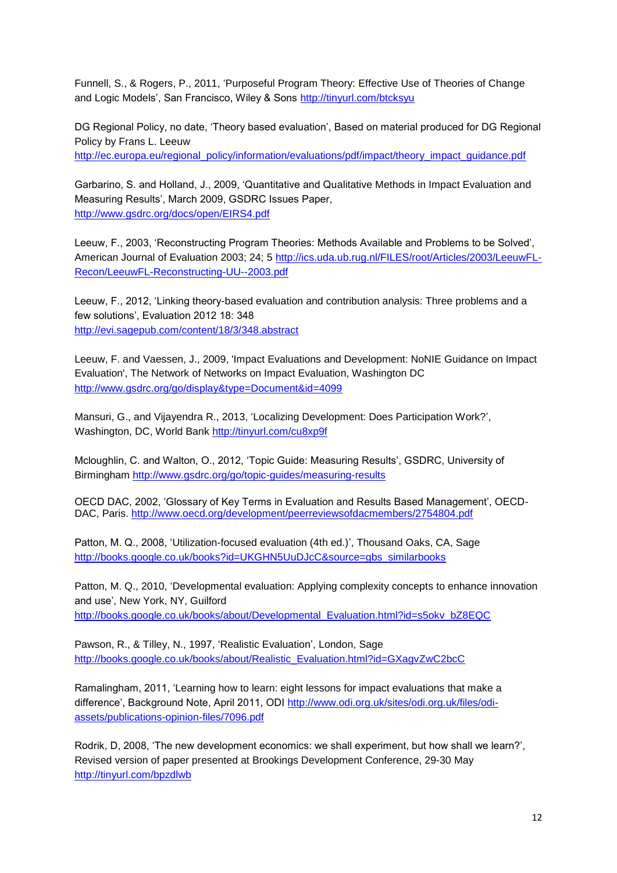Funnell, S., & Rogers, P., 2011, 'Purposeful Program Theory: Effective Use of Theories of Change and Logic Models', San Francisco, Wiley & Sons <http://tinyurl.com/btcksyu>

DG Regional Policy, no date, 'Theory based evaluation', Based on material produced for DG Regional Policy by Frans L. Leeuw [http://ec.europa.eu/regional\\_policy/information/evaluations/pdf/impact/theory\\_impact\\_guidance.pdf](http://ec.europa.eu/regional_policy/information/evaluations/pdf/impact/theory_impact_guidance.pdf)

Garbarino, S. and Holland, J., 2009, 'Quantitative and Qualitative Methods in Impact Evaluation and Measuring Results', March 2009, GSDRC Issues Paper, <http://www.gsdrc.org/docs/open/EIRS4.pdf>

Leeuw, F., 2003, 'Reconstructing Program Theories: Methods Available and Problems to be Solved', American Journal of Evaluation 2003; 24; 5 [http://ics.uda.ub.rug.nl/FILES/root/Articles/2003/LeeuwFL-](http://ics.uda.ub.rug.nl/FILES/root/Articles/2003/LeeuwFL-Recon/LeeuwFL-Reconstructing-UU--2003.pdf)[Recon/LeeuwFL-Reconstructing-UU--2003.pdf](http://ics.uda.ub.rug.nl/FILES/root/Articles/2003/LeeuwFL-Recon/LeeuwFL-Reconstructing-UU--2003.pdf)

Leeuw, F., 2012, 'Linking theory-based evaluation and contribution analysis: Three problems and a few solutions', Evaluation 2012 18: 348 <http://evi.sagepub.com/content/18/3/348.abstract>

Leeuw, F. and Vaessen, J., 2009, 'Impact Evaluations and Development: NoNIE Guidance on Impact Evaluation', The Network of Networks on Impact Evaluation, Washington DC <http://www.gsdrc.org/go/display&type=Document&id=4099>

Mansuri, G., and Vijayendra R., 2013, 'Localizing Development: Does Participation Work?', Washington, DC, World Bank <http://tinyurl.com/cu8xp9f>

Mcloughlin, C. and Walton, O., 2012, 'Topic Guide: Measuring Results', GSDRC, University of Birmingham<http://www.gsdrc.org/go/topic-guides/measuring-results>

OECD DAC, 2002, 'Glossary of Key Terms in Evaluation and Results Based Management', OECD-DAC, Paris. <http://www.oecd.org/development/peerreviewsofdacmembers/2754804.pdf>

Patton, M. Q., 2008, 'Utilization-focused evaluation (4th ed.)', Thousand Oaks, CA, Sage [http://books.google.co.uk/books?id=UKGHN5UuDJcC&source=gbs\\_similarbooks](http://books.google.co.uk/books?id=UKGHN5UuDJcC&source=gbs_similarbooks)

Patton, M. Q., 2010, 'Developmental evaluation: Applying complexity concepts to enhance innovation and use', New York, NY, Guilford [http://books.google.co.uk/books/about/Developmental\\_Evaluation.html?id=s5okv\\_bZ8EQC](http://books.google.co.uk/books/about/Developmental_Evaluation.html?id=s5okv_bZ8EQC)

Pawson, R., & Tilley, N., 1997, 'Realistic Evaluation', London, Sage [http://books.google.co.uk/books/about/Realistic\\_Evaluation.html?id=GXagvZwC2bcC](http://books.google.co.uk/books/about/Realistic_Evaluation.html?id=GXagvZwC2bcC)

Ramalingham, 2011, 'Learning how to learn: eight lessons for impact evaluations that make a difference', Background Note, April 2011, ODI [http://www.odi.org.uk/sites/odi.org.uk/files/odi](http://www.odi.org.uk/sites/odi.org.uk/files/odi-assets/publications-opinion-files/7096.pdf)[assets/publications-opinion-files/7096.pdf](http://www.odi.org.uk/sites/odi.org.uk/files/odi-assets/publications-opinion-files/7096.pdf)

Rodrik, D, 2008, 'The new development economics: we shall experiment, but how shall we learn?', Revised version of paper presented at Brookings Development Conference, 29-30 May <http://tinyurl.com/bpzdlwb>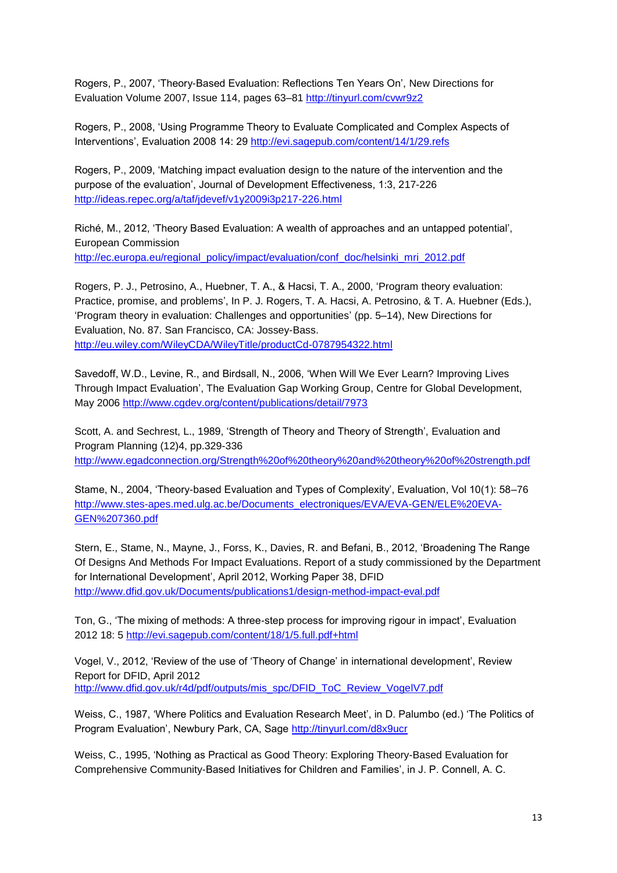Rogers, P., 2007, 'Theory-Based Evaluation: Reflections Ten Years On', New Directions for Evaluation [Volume 2007,](http://onlinelibrary.wiley.com/doi/10.1002/ev.v2007:114/issuetoc) Issue 114, pages 63–81 <http://tinyurl.com/cvwr9z2>

Rogers, P., 2008, 'Using Programme Theory to Evaluate Complicated and Complex Aspects of Interventions', Evaluation 2008 14: 29 <http://evi.sagepub.com/content/14/1/29.refs>

Rogers, P., 2009, 'Matching impact evaluation design to the nature of the intervention and the purpose of the evaluation', Journal of Development Effectiveness, 1:3, 217-226 <http://ideas.repec.org/a/taf/jdevef/v1y2009i3p217-226.html>

Riché, M., 2012, 'Theory Based Evaluation: A wealth of approaches and an untapped potential', European Commission [http://ec.europa.eu/regional\\_policy/impact/evaluation/conf\\_doc/helsinki\\_mri\\_2012.pdf](http://ec.europa.eu/regional_policy/impact/evaluation/conf_doc/helsinki_mri_2012.pdf)

Rogers, P. J., Petrosino, A., Huebner, T. A., & Hacsi, T. A., 2000, 'Program theory evaluation: Practice, promise, and problems', In P. J. Rogers, T. A. Hacsi, A. Petrosino, & T. A. Huebner (Eds.), 'Program theory in evaluation: Challenges and opportunities' (pp. 5–14), New Directions for Evaluation, No. 87. San Francisco, CA: Jossey-Bass. <http://eu.wiley.com/WileyCDA/WileyTitle/productCd-0787954322.html>

Savedoff, W.D., Levine, R., and Birdsall, N., 2006, 'When Will We Ever Learn? Improving Lives Through Impact Evaluation', The Evaluation Gap Working Group, Centre for Global Development, May 2006 <http://www.cgdev.org/content/publications/detail/7973>

Scott, A. and Sechrest, L., 1989, 'Strength of Theory and Theory of Strength', Evaluation and Program Planning (12)4, pp.329-336 <http://www.egadconnection.org/Strength%20of%20theory%20and%20theory%20of%20strength.pdf>

Stame, N., 2004, 'Theory-based Evaluation and Types of Complexity', Evaluation, Vol 10(1): 58–76 [http://www.stes-apes.med.ulg.ac.be/Documents\\_electroniques/EVA/EVA-GEN/ELE%20EVA-](http://www.stes-apes.med.ulg.ac.be/Documents_electroniques/EVA/EVA-GEN/ELE%20EVA-GEN%207360.pdf)[GEN%207360.pdf](http://www.stes-apes.med.ulg.ac.be/Documents_electroniques/EVA/EVA-GEN/ELE%20EVA-GEN%207360.pdf)

Stern, E., Stame, N., Mayne, J., Forss, K., Davies, R. and Befani, B., 2012, 'Broadening The Range Of Designs And Methods For Impact Evaluations. Report of a study commissioned by the Department for International Development', April 2012, Working Paper 38, DFID <http://www.dfid.gov.uk/Documents/publications1/design-method-impact-eval.pdf>

Ton, G., 'The mixing of methods: A three-step process for improving rigour in impact', Evaluation 2012 18: 5<http://evi.sagepub.com/content/18/1/5.full.pdf+html>

Vogel, V., 2012, 'Review of the use of 'Theory of Change' in international development', Review Report for DFID, April 2012 [http://www.dfid.gov.uk/r4d/pdf/outputs/mis\\_spc/DFID\\_ToC\\_Review\\_VogelV7.pdf](http://www.dfid.gov.uk/r4d/pdf/outputs/mis_spc/DFID_ToC_Review_VogelV7.pdf)

Weiss, C., 1987, 'Where Politics and Evaluation Research Meet', in D. Palumbo (ed.) 'The Politics of Program Evaluation', Newbury Park, CA, Sage <http://tinyurl.com/d8x9ucr>

Weiss, C., 1995, 'Nothing as Practical as Good Theory: Exploring Theory-Based Evaluation for Comprehensive Community-Based Initiatives for Children and Families', in J. P. Connell, A. C.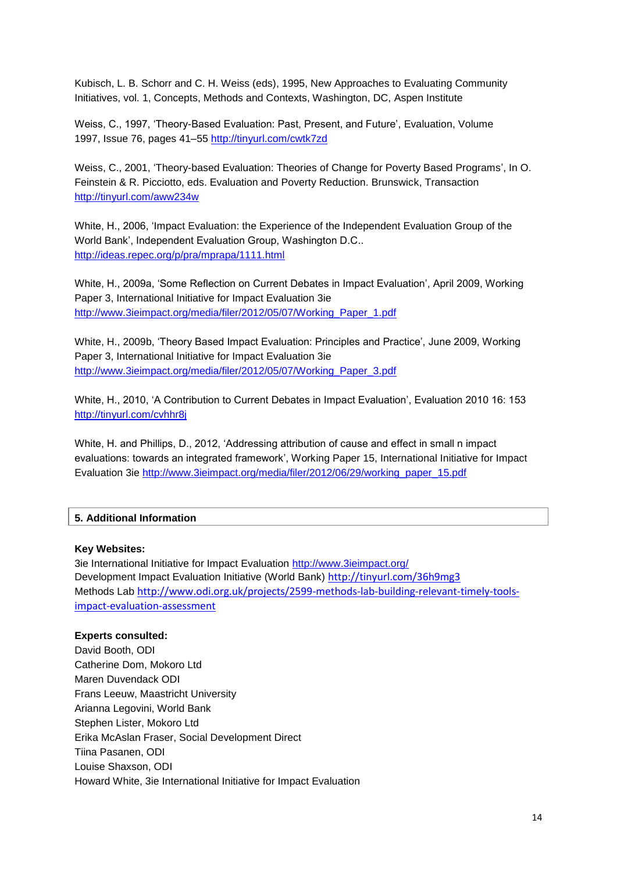Kubisch, L. B. Schorr and C. H. Weiss (eds), 1995, New Approaches to Evaluating Community Initiatives, vol. 1, Concepts, Methods and Contexts, Washington, DC, Aspen Institute

Weiss, C., 1997, 'Theory-Based Evaluation: Past, Present, and Future', Evaluation, [Volume](http://onlinelibrary.wiley.com/doi/10.1002/ev.v1997:76/issuetoc)  1997, [Issue 76,](http://onlinelibrary.wiley.com/doi/10.1002/ev.v1997:76/issuetoc) pages 41–55 <http://tinyurl.com/cwtk7zd>

Weiss, C., 2001, 'Theory-based Evaluation: Theories of Change for Poverty Based Programs', In O. Feinstein & R. Picciotto, eds. Evaluation and Poverty Reduction. Brunswick, Transaction <http://tinyurl.com/aww234w>

White, H., 2006, 'Impact Evaluation: the Experience of the Independent Evaluation Group of the World Bank', Independent Evaluation Group, Washington D.C.. <http://ideas.repec.org/p/pra/mprapa/1111.html>

White, H., 2009a, 'Some Reflection on Current Debates in Impact Evaluation', April 2009, Working Paper 3, International Initiative for Impact Evaluation 3ie [http://www.3ieimpact.org/media/filer/2012/05/07/Working\\_Paper\\_1.pdf](http://www.3ieimpact.org/media/filer/2012/05/07/Working_Paper_1.pdf)

White, H., 2009b, 'Theory Based Impact Evaluation: Principles and Practice', June 2009, Working Paper 3, International Initiative for Impact Evaluation 3ie [http://www.3ieimpact.org/media/filer/2012/05/07/Working\\_Paper\\_3.pdf](http://www.3ieimpact.org/media/filer/2012/05/07/Working_Paper_3.pdf)

White, H., 2010, 'A Contribution to Current Debates in Impact Evaluation', Evaluation 2010 16: 153 <http://tinyurl.com/cvhhr8j>

White, H. and Phillips, D., 2012, 'Addressing attribution of cause and effect in small n impact evaluations: towards an integrated framework', Working Paper 15, International Initiative for Impact Evaluation 3ie [http://www.3ieimpact.org/media/filer/2012/06/29/working\\_paper\\_15.pdf](http://www.3ieimpact.org/media/filer/2012/06/29/working_paper_15.pdf)

#### **5. Additional Information**

#### **Key Websites:**

3ie International Initiative for Impact Evaluation<http://www.3ieimpact.org/> Development Impact Evaluation Initiative (World Bank) <http://tinyurl.com/36h9mg3> Methods Lab [http://www.odi.org.uk/projects/2599-methods-lab-building-relevant-timely-tools](http://www.odi.org.uk/projects/2599-methods-lab-building-relevant-timely-tools-impact-evaluation-assessment)[impact-evaluation-assessment](http://www.odi.org.uk/projects/2599-methods-lab-building-relevant-timely-tools-impact-evaluation-assessment)

#### **Experts consulted:**

David Booth, ODI Catherine Dom, Mokoro Ltd Maren Duvendack ODI Frans Leeuw, Maastricht University Arianna Legovini, World Bank Stephen Lister, Mokoro Ltd Erika McAslan Fraser, Social Development Direct Tiina Pasanen, ODI Louise Shaxson, ODI Howard White, 3ie International Initiative for Impact Evaluation